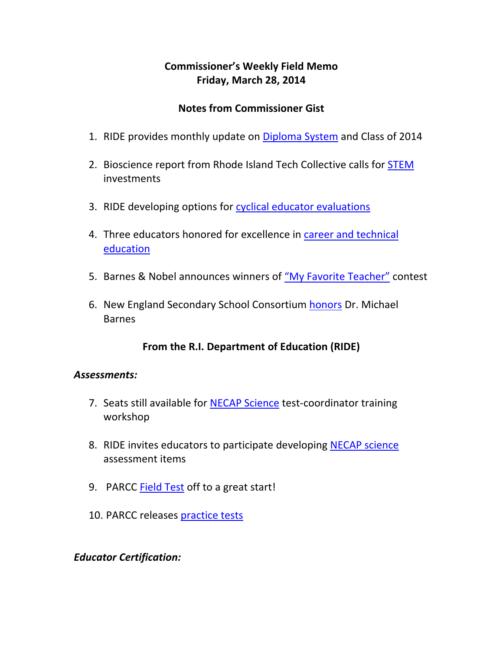## **Commissioner's Weekly Field Memo Friday, March 28, 2014**

#### **Notes from Commissioner Gist**

- 1. RIDE provides monthly update on Diploma System and Class of 2014
- 2. Bioscience report from Rhode Island Tech Collective calls for STEM investments
- 3. RIDE developing options for cyclical educator evaluations
- 4. Three educators honored for excellence in career and technical education
- 5. Barnes & Nobel announces winners of "My Favorite Teacher" contest
- 6. New England Secondary School Consortium honors Dr. Michael Barnes

### **From the R.I. Department of Education (RIDE)**

#### *Assessments:*

- 7. Seats still available for **NECAP Science** test-coordinator training workshop
- 8. RIDE invites educators to participate developing NECAP science assessment items
- 9. PARCC Field Test off to a great start!
- 10. PARCC releases practice tests

#### *Educator Certification:*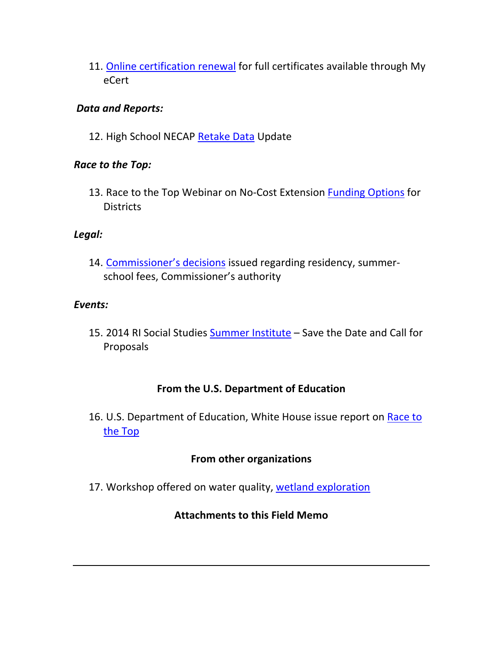11. Online certification renewal for full certificates available through My eCert

### *Data and Reports:*

12. High School NECAP Retake Data Update

### *Race to the Top:*

13. Race to the Top Webinar on No-Cost Extension Funding Options for **Districts** 

### *Legal:*

14. Commissioner's decisions issued regarding residency, summer‐ school fees, Commissioner's authority

### *Events:*

15. 2014 RI Social Studies Summer Institute – Save the Date and Call for Proposals

### **From the U.S. Department of Education**

16. U.S. Department of Education, White House issue report on Race to the Top

## **From other organizations**

17. Workshop offered on water quality, wetland exploration

### **Attachments to this Field Memo**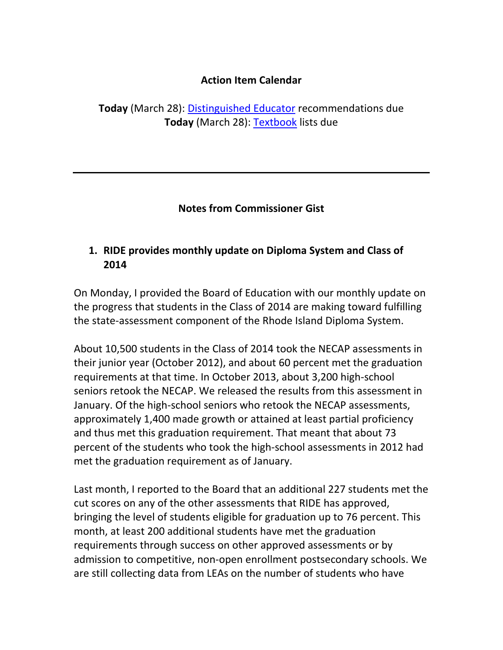### **Action Item Calendar**

**Today** (March 28): Distinguished Educator recommendations due **Today** (March 28): Textbook lists due

### **Notes from Commissioner Gist**

# **1. RIDE provides monthly update on Diploma System and Class of 2014**

On Monday, I provided the Board of Education with our monthly update on the progress that students in the Class of 2014 are making toward fulfilling the state‐assessment component of the Rhode Island Diploma System.

About 10,500 students in the Class of 2014 took the NECAP assessments in their junior year (October 2012), and about 60 percent met the graduation requirements at that time. In October 2013, about 3,200 high‐school seniors retook the NECAP. We released the results from this assessment in January. Of the high‐school seniors who retook the NECAP assessments, approximately 1,400 made growth or attained at least partial proficiency and thus met this graduation requirement. That meant that about 73 percent of the students who took the high‐school assessments in 2012 had met the graduation requirement as of January.

Last month, I reported to the Board that an additional 227 students met the cut scores on any of the other assessments that RIDE has approved, bringing the level of students eligible for graduation up to 76 percent. This month, at least 200 additional students have met the graduation requirements through success on other approved assessments or by admission to competitive, non‐open enrollment postsecondary schools. We are still collecting data from LEAs on the number of students who have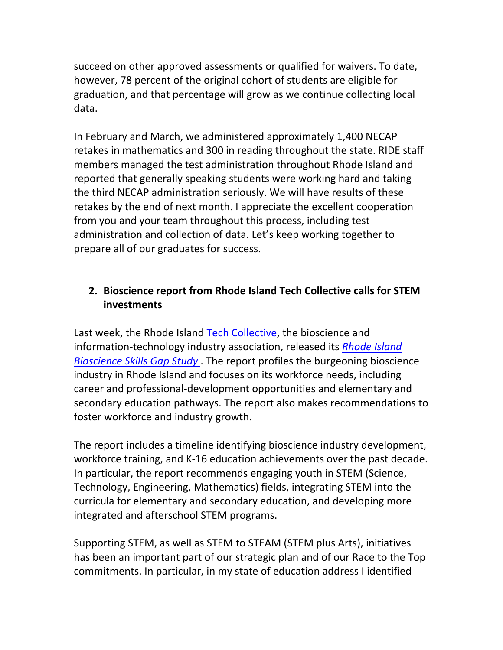succeed on other approved assessments or qualified for waivers. To date, however, 78 percent of the original cohort of students are eligible for graduation, and that percentage will grow as we continue collecting local data.

In February and March, we administered approximately 1,400 NECAP retakes in mathematics and 300 in reading throughout the state. RIDE staff members managed the test administration throughout Rhode Island and reported that generally speaking students were working hard and taking the third NECAP administration seriously. We will have results of these retakes by the end of next month. I appreciate the excellent cooperation from you and your team throughout this process, including test administration and collection of data. Let's keep working together to prepare all of our graduates for success.

# **2. Bioscience report from Rhode Island Tech Collective calls for STEM investments**

Last week, the Rhode Island Tech Collective, the bioscience and information‐technology industry association, released its *Rhode Island Bioscience Skills Gap Study* . The report profiles the burgeoning bioscience industry in Rhode Island and focuses on its workforce needs, including career and professional‐development opportunities and elementary and secondary education pathways. The report also makes recommendations to foster workforce and industry growth.

The report includes a timeline identifying bioscience industry development, workforce training, and K‐16 education achievements over the past decade. In particular, the report recommends engaging youth in STEM (Science, Technology, Engineering, Mathematics) fields, integrating STEM into the curricula for elementary and secondary education, and developing more integrated and afterschool STEM programs.

Supporting STEM, as well as STEM to STEAM (STEM plus Arts), initiatives has been an important part of our strategic plan and of our Race to the Top commitments. In particular, in my state of education address I identified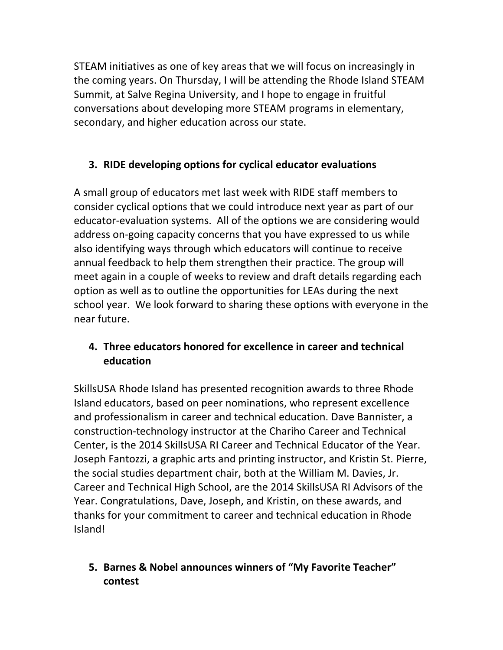STEAM initiatives as one of key areas that we will focus on increasingly in the coming years. On Thursday, I will be attending the Rhode Island STEAM Summit, at Salve Regina University, and I hope to engage in fruitful conversations about developing more STEAM programs in elementary, secondary, and higher education across our state.

# **3. RIDE developing options for cyclical educator evaluations**

A small group of educators met last week with RIDE staff members to consider cyclical options that we could introduce next year as part of our educator-evaluation systems. All of the options we are considering would address on‐going capacity concerns that you have expressed to us while also identifying ways through which educators will continue to receive annual feedback to help them strengthen their practice. The group will meet again in a couple of weeks to review and draft details regarding each option as well as to outline the opportunities for LEAs during the next school year. We look forward to sharing these options with everyone in the near future.

# **4. Three educators honored for excellence in career and technical education**

SkillsUSA Rhode Island has presented recognition awards to three Rhode Island educators, based on peer nominations, who represent excellence and professionalism in career and technical education. Dave Bannister, a construction‐technology instructor at the Chariho Career and Technical Center, is the 2014 SkillsUSA RI Career and Technical Educator of the Year. Joseph Fantozzi, a graphic arts and printing instructor, and Kristin St. Pierre, the social studies department chair, both at the William M. Davies, Jr. Career and Technical High School, are the 2014 SkillsUSA RI Advisors of the Year. Congratulations, Dave, Joseph, and Kristin, on these awards, and thanks for your commitment to career and technical education in Rhode Island!

# **5. Barnes & Nobel announces winners of "My Favorite Teacher" contest**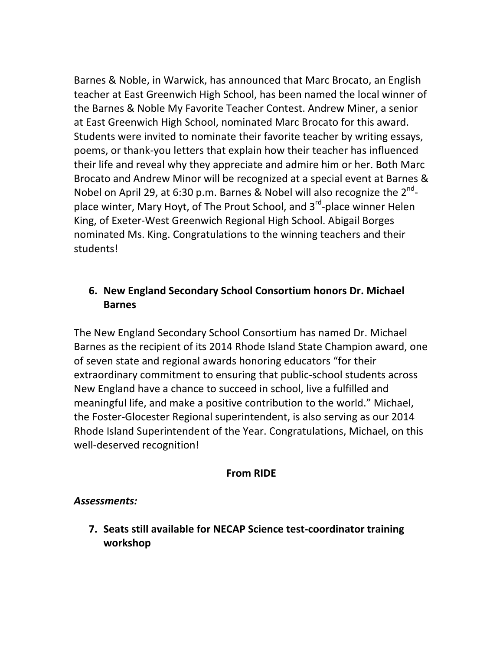Barnes & Noble, in Warwick, has announced that Marc Brocato, an English teacher at East Greenwich High School, has been named the local winner of the Barnes & Noble My Favorite Teacher Contest. Andrew Miner, a senior at East Greenwich High School, nominated Marc Brocato for this award. Students were invited to nominate their favorite teacher by writing essays, poems, or thank‐you letters that explain how their teacher has influenced their life and reveal why they appreciate and admire him or her. Both Marc Brocato and Andrew Minor will be recognized at a special event at Barnes & Nobel on April 29, at 6:30 p.m. Barnes & Nobel will also recognize the  $2^{nd}$ place winter, Mary Hoyt, of The Prout School, and 3<sup>rd</sup>-place winner Helen King, of Exeter‐West Greenwich Regional High School. Abigail Borges nominated Ms. King. Congratulations to the winning teachers and their students!

# **6. New England Secondary School Consortium honors Dr. Michael Barnes**

The New England Secondary School Consortium has named Dr. Michael Barnes as the recipient of its 2014 Rhode Island State Champion award, one of seven state and regional awards honoring educators "for their extraordinary commitment to ensuring that public‐school students across New England have a chance to succeed in school, live a fulfilled and meaningful life, and make a positive contribution to the world." Michael, the Foster‐Glocester Regional superintendent, is also serving as our 2014 Rhode Island Superintendent of the Year. Congratulations, Michael, on this well-deserved recognition!

### **From RIDE**

### *Assessments:*

**7. Seats still available for NECAP Science test‐coordinator training workshop**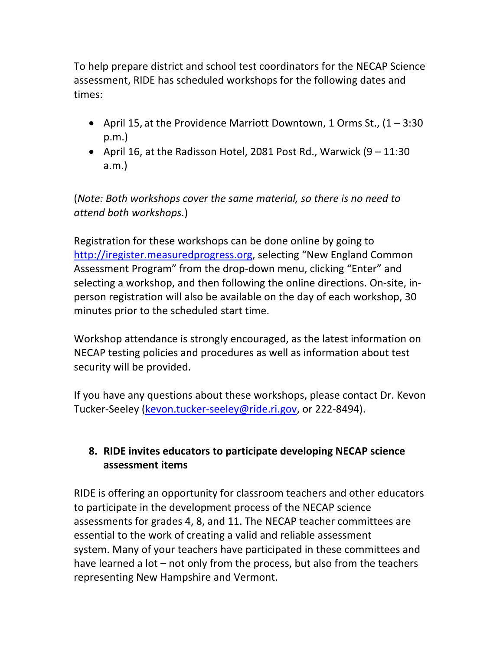To help prepare district and school test coordinators for the NECAP Science assessment, RIDE has scheduled workshops for the following dates and times:

- April 15, at the Providence Marriott Downtown, 1 Orms St.,  $(1 3.30)$ p.m.)
- April 16, at the Radisson Hotel, 2081 Post Rd., Warwick  $(9 11:30)$ a.m.)

(*Note: Both workshops cover the same material, so there is no need to attend both workshops.*)

Registration for these workshops can be done online by going to http://iregister.measuredprogress.org, selecting "New England Common Assessment Program" from the drop‐down menu, clicking "Enter" and selecting a workshop, and then following the online directions. On‐site, in‐ person registration will also be available on the day of each workshop, 30 minutes prior to the scheduled start time.

Workshop attendance is strongly encouraged, as the latest information on NECAP testing policies and procedures as well as information about test security will be provided.

If you have any questions about these workshops, please contact Dr. Kevon Tucker‐Seeley (kevon.tucker‐seeley@ride.ri.gov, or 222‐8494).

# **8. RIDE invites educators to participate developing NECAP science assessment items**

RIDE is offering an opportunity for classroom teachers and other educators to participate in the development process of the NECAP science assessments for grades 4, 8, and 11. The NECAP teacher committees are essential to the work of creating a valid and reliable assessment system. Many of your teachers have participated in these committees and have learned a lot – not only from the process, but also from the teachers representing New Hampshire and Vermont.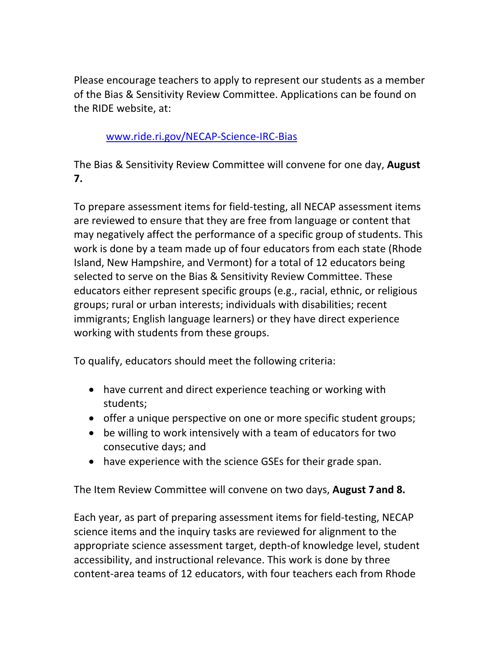Please encourage teachers to apply to represent our students as a member of the Bias & Sensitivity Review Committee. Applications can be found on the RIDE website, at:

### www.ride.ri.gov/NECAP‐Science‐IRC‐Bias

The Bias & Sensitivity Review Committee will convene for one day, **August 7.**

To prepare assessment items for field‐testing, all NECAP assessment items are reviewed to ensure that they are free from language or content that may negatively affect the performance of a specific group of students. This work is done by a team made up of four educators from each state (Rhode Island, New Hampshire, and Vermont) for a total of 12 educators being selected to serve on the Bias & Sensitivity Review Committee. These educators either represent specific groups (e.g., racial, ethnic, or religious groups; rural or urban interests; individuals with disabilities; recent immigrants; English language learners) or they have direct experience working with students from these groups.

To qualify, educators should meet the following criteria:

- have current and direct experience teaching or working with students;
- offer a unique perspective on one or more specific student groups;
- be willing to work intensively with a team of educators for two consecutive days; and
- have experience with the science GSEs for their grade span.

The Item Review Committee will convene on two days, **August 7 and 8.**

Each year, as part of preparing assessment items for field‐testing, NECAP science items and the inquiry tasks are reviewed for alignment to the appropriate science assessment target, depth‐of knowledge level, student accessibility, and instructional relevance. This work is done by three content‐area teams of 12 educators, with four teachers each from Rhode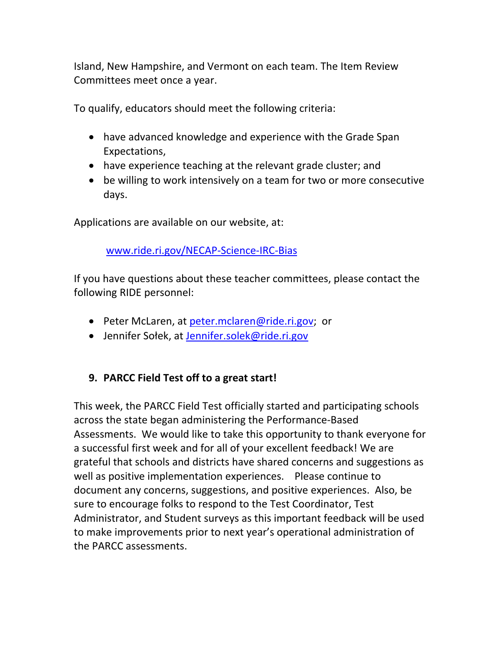Island, New Hampshire, and Vermont on each team. The Item Review Committees meet once a year.

To qualify, educators should meet the following criteria:

- have advanced knowledge and experience with the Grade Span Expectations,
- have experience teaching at the relevant grade cluster; and
- be willing to work intensively on a team for two or more consecutive days.

Applications are available on our website, at:

www.ride.ri.gov/NECAP‐Science‐IRC‐Bias

If you have questions about these teacher committees, please contact the following RIDE personnel:

- Peter McLaren, at peter.mclaren@ride.ri.gov; or
- Jennifer Sołek, at Jennifer.solek@ride.ri.gov

## **9. PARCC Field Test off to a great start!**

This week, the PARCC Field Test officially started and participating schools across the state began administering the Performance‐Based Assessments. We would like to take this opportunity to thank everyone for a successful first week and for all of your excellent feedback! We are grateful that schools and districts have shared concerns and suggestions as well as positive implementation experiences. Please continue to document any concerns, suggestions, and positive experiences. Also, be sure to encourage folks to respond to the Test Coordinator, Test Administrator, and Student surveys as this important feedback will be used to make improvements prior to next year's operational administration of the PARCC assessments.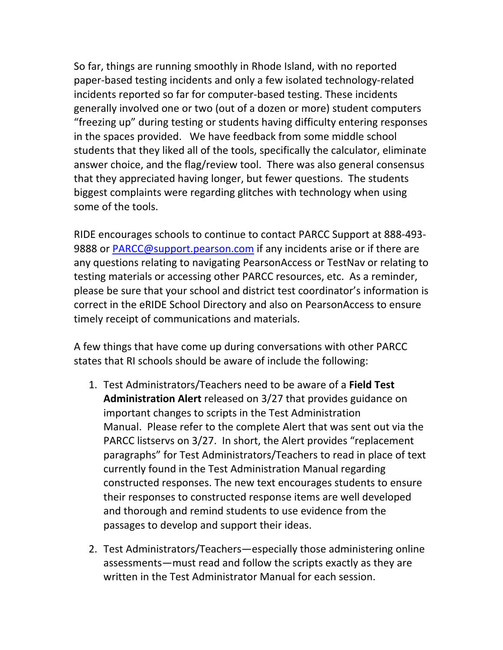So far, things are running smoothly in Rhode Island, with no reported paper‐based testing incidents and only a few isolated technology‐related incidents reported so far for computer‐based testing. These incidents generally involved one or two (out of a dozen or more) student computers "freezing up" during testing or students having difficulty entering responses in the spaces provided. We have feedback from some middle school students that they liked all of the tools, specifically the calculator, eliminate answer choice, and the flag/review tool. There was also general consensus that they appreciated having longer, but fewer questions. The students biggest complaints were regarding glitches with technology when using some of the tools.

RIDE encourages schools to continue to contact PARCC Support at 888‐493‐ 9888 or PARCC@support.pearson.com if any incidents arise or if there are any questions relating to navigating PearsonAccess or TestNav or relating to testing materials or accessing other PARCC resources, etc. As a reminder, please be sure that your school and district test coordinator's information is correct in the eRIDE School Directory and also on PearsonAccess to ensure timely receipt of communications and materials.

A few things that have come up during conversations with other PARCC states that RI schools should be aware of include the following:

- 1. Test Administrators/Teachers need to be aware of a **Field Test Administration Alert** released on 3/27 that provides guidance on important changes to scripts in the Test Administration Manual. Please refer to the complete Alert that was sent out via the PARCC listservs on 3/27. In short, the Alert provides "replacement paragraphs" for Test Administrators/Teachers to read in place of text currently found in the Test Administration Manual regarding constructed responses. The new text encourages students to ensure their responses to constructed response items are well developed and thorough and remind students to use evidence from the passages to develop and support their ideas.
- 2. Test Administrators/Teachers—especially those administering online assessments—must read and follow the scripts exactly as they are written in the Test Administrator Manual for each session.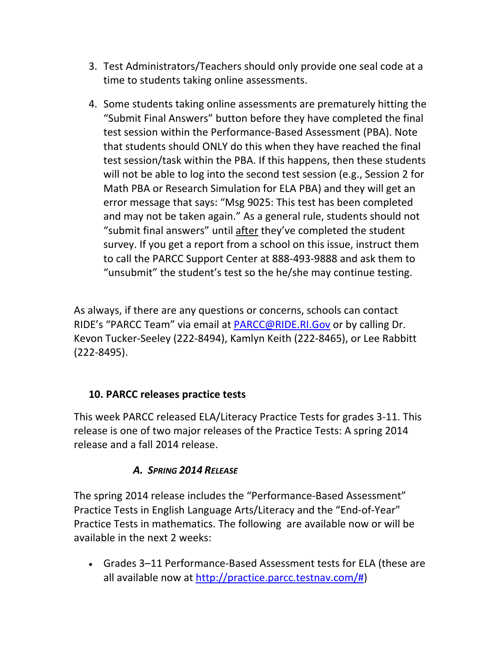- 3. Test Administrators/Teachers should only provide one seal code at a time to students taking online assessments.
- 4. Some students taking online assessments are prematurely hitting the "Submit Final Answers" button before they have completed the final test session within the Performance‐Based Assessment (PBA). Note that students should ONLY do this when they have reached the final test session/task within the PBA. If this happens, then these students will not be able to log into the second test session (e.g., Session 2 for Math PBA or Research Simulation for ELA PBA) and they will get an error message that says: "Msg 9025: This test has been completed and may not be taken again." As a general rule, students should not "submit final answers" until after they've completed the student survey. If you get a report from a school on this issue, instruct them to call the PARCC Support Center at 888‐493‐9888 and ask them to "unsubmit" the student's test so the he/she may continue testing.

As always, if there are any questions or concerns, schools can contact RIDE's "PARCC Team" via email at PARCC@RIDE.RI.Gov or by calling Dr. Kevon Tucker‐Seeley (222‐8494), Kamlyn Keith (222‐8465), or Lee Rabbitt (222‐8495).

## **10. PARCC releases practice tests**

This week PARCC released ELA/Literacy Practice Tests for grades 3‐11. This release is one of two major releases of the Practice Tests: A spring 2014 release and a fall 2014 release.

## *A. SPRING 2014 RELEASE*

The spring 2014 release includes the "Performance‐Based Assessment" Practice Tests in English Language Arts/Literacy and the "End‐of‐Year" Practice Tests in mathematics. The following are available now or will be available in the next 2 weeks:

 Grades 3–11 Performance‐Based Assessment tests for ELA (these are all available now at http://practice.parcc.testnav.com/#)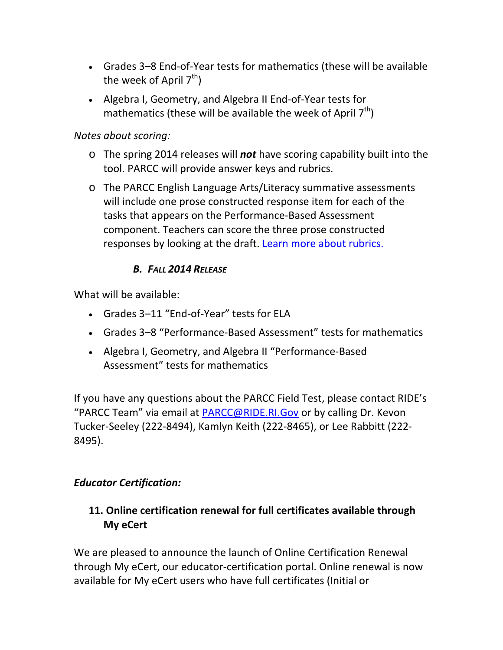- Grades 3–8 End‐of‐Year tests for mathematics (these will be available the week of April  $7<sup>th</sup>$ )
- Algebra I, Geometry, and Algebra II End‐of‐Year tests for mathematics (these will be available the week of April  $7<sup>th</sup>$ )

### *Notes about scoring:*

- o The spring 2014 releases will *not* have scoring capability built into the tool. PARCC will provide answer keys and rubrics.
- o The PARCC English Language Arts/Literacy summative assessments will include one prose constructed response item for each of the tasks that appears on the Performance‐Based Assessment component. Teachers can score the three prose constructed responses by looking at the draft. Learn more about rubrics.

## *B. FALL 2014 RELEASE*

What will be available:

- Grades 3–11 "End‐of‐Year" tests for ELA
- Grades 3–8 "Performance‐Based Assessment" tests for mathematics
- Algebra I, Geometry, and Algebra II "Performance‐Based Assessment" tests for mathematics

If you have any questions about the PARCC Field Test, please contact RIDE's "PARCC Team" via email at PARCC@RIDE.RI.Gov or by calling Dr. Kevon Tucker‐Seeley (222‐8494), Kamlyn Keith (222‐8465), or Lee Rabbitt (222‐ 8495).

## *Educator Certification:*

## **11. Online certification renewal for full certificates available through My eCert**

We are pleased to announce the launch of Online Certification Renewal through My eCert, our educator‐certification portal. Online renewal is now available for My eCert users who have full certificates (Initial or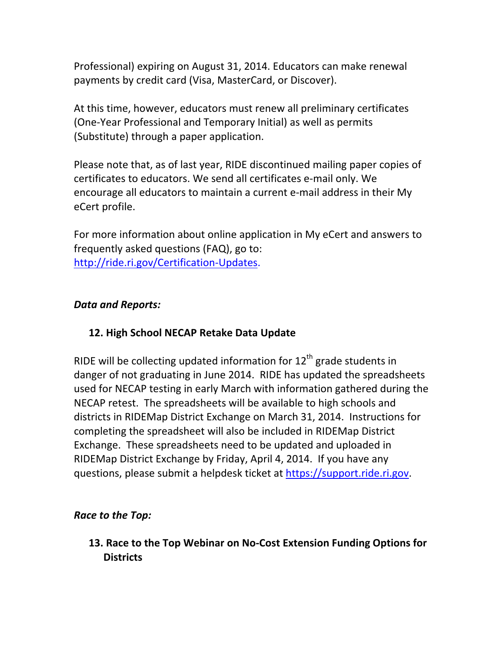Professional) expiring on August 31, 2014. Educators can make renewal payments by credit card (Visa, MasterCard, or Discover).

At this time, however, educators must renew all preliminary certificates (One‐Year Professional and Temporary Initial) as well as permits (Substitute) through a paper application.

Please note that, as of last year, RIDE discontinued mailing paper copies of certificates to educators. We send all certificates e‐mail only. We encourage all educators to maintain a current e‐mail address in their My eCert profile.

For more information about online application in My eCert and answers to frequently asked questions (FAQ), go to: http://ride.ri.gov/Certification‐Updates.

#### *Data and Reports:*

### **12. High School NECAP Retake Data Update**

RIDE will be collecting updated information for  $12<sup>th</sup>$  grade students in danger of not graduating in June 2014. RIDE has updated the spreadsheets used for NECAP testing in early March with information gathered during the NECAP retest. The spreadsheets will be available to high schools and districts in RIDEMap District Exchange on March 31, 2014. Instructions for completing the spreadsheet will also be included in RIDEMap District Exchange. These spreadsheets need to be updated and uploaded in RIDEMap District Exchange by Friday, April 4, 2014. If you have any questions, please submit a helpdesk ticket at https://support.ride.ri.gov.

### *Race to the Top:*

**13. Race to the Top Webinar on No‐Cost Extension Funding Options for Districts**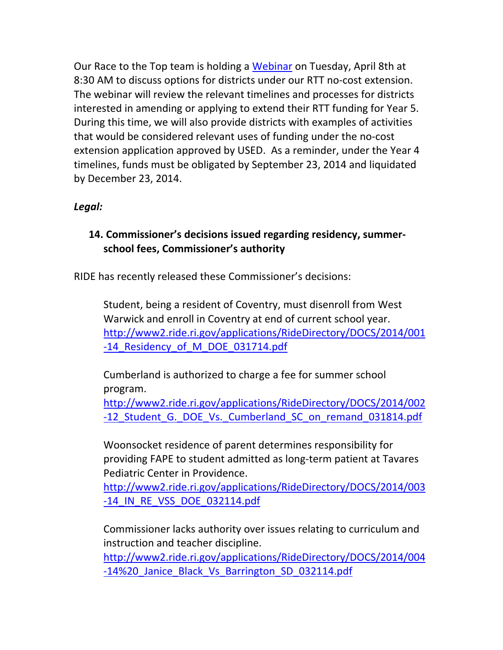Our Race to the Top team is holding a Webinar on Tuesday, April 8th at 8:30 AM to discuss options for districts under our RTT no‐cost extension. The webinar will review the relevant timelines and processes for districts interested in amending or applying to extend their RTT funding for Year 5. During this time, we will also provide districts with examples of activities that would be considered relevant uses of funding under the no‐cost extension application approved by USED. As a reminder, under the Year 4 timelines, funds must be obligated by September 23, 2014 and liquidated by December 23, 2014.

### *Legal:*

### **14. Commissioner's decisions issued regarding residency, summer‐ school fees, Commissioner's authority**

RIDE has recently released these Commissioner's decisions:

Student, being a resident of Coventry, must disenroll from West Warwick and enroll in Coventry at end of current school year. http://www2.ride.ri.gov/applications/RideDirectory/DOCS/2014/001 -14 Residency of M DOE 031714.pdf

Cumberland is authorized to charge a fee for summer school program.

http://www2.ride.ri.gov/applications/RideDirectory/DOCS/2014/002 -12 Student G. DOE Vs. Cumberland SC on remand 031814.pdf

Woonsocket residence of parent determines responsibility for providing FAPE to student admitted as long‐term patient at Tavares Pediatric Center in Providence.

http://www2.ride.ri.gov/applications/RideDirectory/DOCS/2014/003 ‐14\_IN\_RE\_VSS\_DOE\_032114.pdf

Commissioner lacks authority over issues relating to curriculum and instruction and teacher discipline.

http://www2.ride.ri.gov/applications/RideDirectory/DOCS/2014/004 -14%20 Janice Black Vs Barrington SD 032114.pdf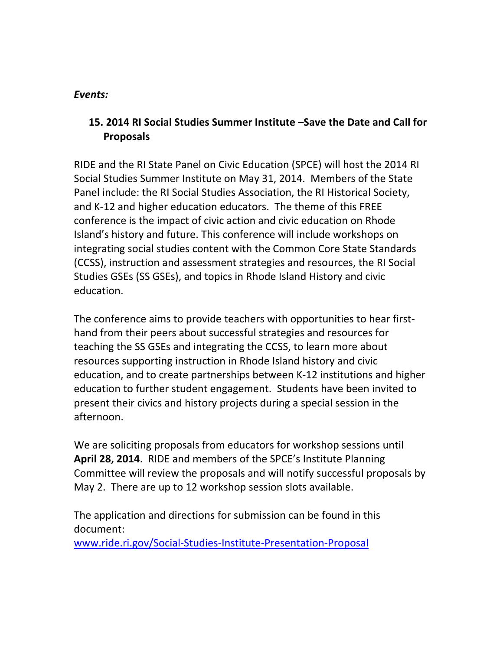#### *Events:*

# **15. 2014 RI Social Studies Summer Institute –Save the Date and Call for Proposals**

RIDE and the RI State Panel on Civic Education (SPCE) will host the 2014 RI Social Studies Summer Institute on May 31, 2014. Members of the State Panel include: the RI Social Studies Association, the RI Historical Society, and K‐12 and higher education educators. The theme of this FREE conference is the impact of civic action and civic education on Rhode Island's history and future. This conference will include workshops on integrating social studies content with the Common Core State Standards (CCSS), instruction and assessment strategies and resources, the RI Social Studies GSEs (SS GSEs), and topics in Rhode Island History and civic education.

The conference aims to provide teachers with opportunities to hear first‐ hand from their peers about successful strategies and resources for teaching the SS GSEs and integrating the CCSS, to learn more about resources supporting instruction in Rhode Island history and civic education, and to create partnerships between K‐12 institutions and higher education to further student engagement. Students have been invited to present their civics and history projects during a special session in the afternoon.

We are soliciting proposals from educators for workshop sessions until **April 28, 2014**. RIDE and members of the SPCE's Institute Planning Committee will review the proposals and will notify successful proposals by May 2. There are up to 12 workshop session slots available.

The application and directions for submission can be found in this document:

www.ride.ri.gov/Social‐Studies‐Institute‐Presentation‐Proposal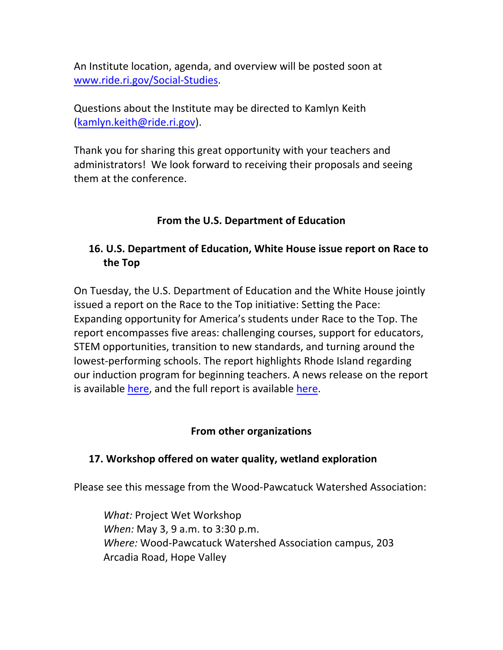An Institute location, agenda, and overview will be posted soon at www.ride.ri.gov/Social‐Studies.

Questions about the Institute may be directed to Kamlyn Keith (kamlyn.keith@ride.ri.gov).

Thank you for sharing this great opportunity with your teachers and administrators! We look forward to receiving their proposals and seeing them at the conference.

### **From the U.S. Department of Education**

# **16. U.S. Department of Education, White House issue report on Race to the Top**

On Tuesday, the U.S. Department of Education and the White House jointly issued a report on the Race to the Top initiative: Setting the Pace: Expanding opportunity for America's students under Race to the Top. The report encompasses five areas: challenging courses, support for educators, STEM opportunities, transition to new standards, and turning around the lowest‐performing schools. The report highlights Rhode Island regarding our induction program for beginning teachers. A news release on the report is available here, and the full report is available here.

#### **From other organizations**

### **17. Workshop offered on water quality, wetland exploration**

Please see this message from the Wood‐Pawcatuck Watershed Association:

*What:* Project Wet Workshop *When:* May 3, 9 a.m. to 3:30 p.m. *Where:* Wood‐Pawcatuck Watershed Association campus, 203 Arcadia Road, Hope Valley